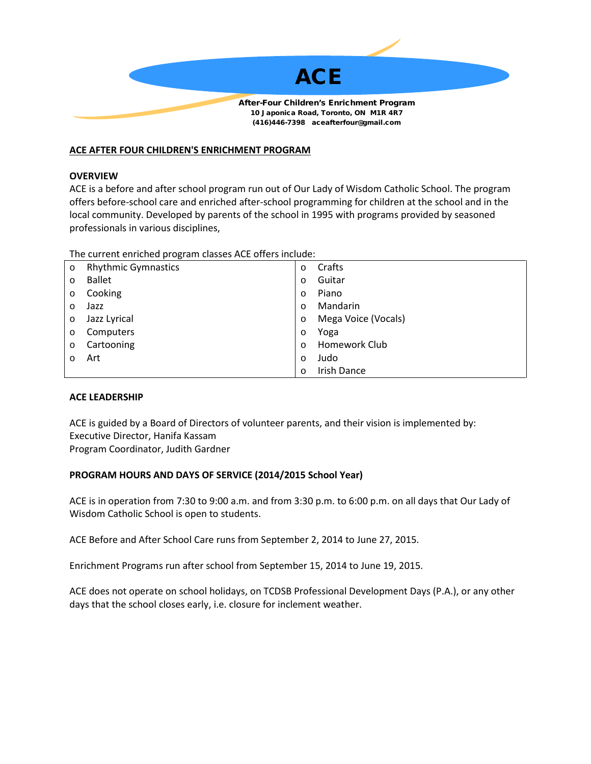

# **ACE AFTER FOUR CHILDREN'S ENRICHMENT PROGRAM**

## **OVERVIEW**

ACE is a before and after school program run out of Our Lady of Wisdom Catholic School. The program offers before-school care and enriched after-school programming for children at the school and in the local community. Developed by parents of the school in 1995 with programs provided by seasoned professionals in various disciplines,

The current enriched program classes ACE offers include:

| $\circ$ | <b>Rhythmic Gymnastics</b> | $\circ$  | Crafts              |
|---------|----------------------------|----------|---------------------|
| $\circ$ | <b>Ballet</b>              | $\circ$  | Guitar              |
| $\circ$ | Cooking                    | $\circ$  | Piano               |
| $\circ$ | Jazz                       | $\Omega$ | Mandarin            |
| $\circ$ | Jazz Lyrical               | $\circ$  | Mega Voice (Vocals) |
| $\circ$ | Computers                  | $\circ$  | Yoga                |
| $\circ$ | Cartooning                 | $\Omega$ | Homework Club       |
| $\circ$ | Art                        | $\circ$  | Judo                |
|         |                            | $\circ$  | <b>Irish Dance</b>  |

## **ACE LEADERSHIP**

ACE is guided by a Board of Directors of volunteer parents, and their vision is implemented by: Executive Director, Hanifa Kassam Program Coordinator, Judith Gardner

# **PROGRAM HOURS AND DAYS OF SERVICE (2014/2015 School Year)**

ACE is in operation from 7:30 to 9:00 a.m. and from 3:30 p.m. to 6:00 p.m. on all days that Our Lady of Wisdom Catholic School is open to students.

ACE Before and After School Care runs from September 2, 2014 to June 27, 2015.

Enrichment Programs run after school from September 15, 2014 to June 19, 2015.

ACE does not operate on school holidays, on TCDSB Professional Development Days (P.A.), or any other days that the school closes early, i.e. closure for inclement weather.